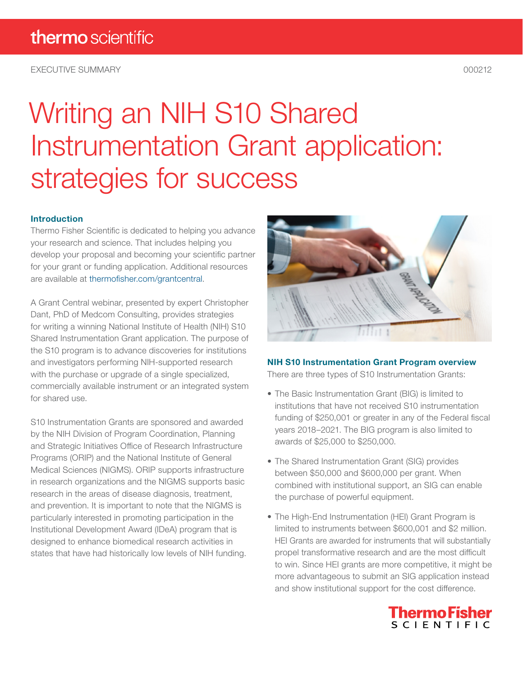EXECUTIVE SUMMARY 000212

# Writing an NIH S10 Shared Instrumentation Grant application: strategies for success

### Introduction

Thermo Fisher Scientific is dedicated to helping you advance your research and science. That includes helping you develop your proposal and becoming your scientific partner for your grant or funding application. Additional resources are available at [thermofisher.com/grantcentral.](http://thermofisher.com/grantcentral)

A Grant Central webinar, presented by expert Christopher Dant, PhD of Medcom Consulting, provides strategies for writing a winning National Institute of Health (NIH) S10 Shared Instrumentation Grant application. The purpose of the S10 program is to advance discoveries for institutions and investigators performing NIH-supported research with the purchase or upgrade of a single specialized, commercially available instrument or an integrated system for shared use.

S10 Instrumentation Grants are sponsored and awarded by the NIH Division of Program Coordination, Planning and Strategic Initiatives Office of Research Infrastructure Programs (ORIP) and the National Institute of General Medical Sciences (NIGMS). ORIP supports infrastructure in research organizations and the NIGMS supports basic research in the areas of disease diagnosis, treatment, and prevention. It is important to note that the NIGMS is particularly interested in promoting participation in the Institutional Development Award (IDeA) program that is designed to enhance biomedical research activities in states that have had historically low levels of NIH funding.



### NIH S10 Instrumentation Grant Program overview

There are three types of S10 Instrumentation Grants:

- The Basic Instrumentation Grant (BIG) is limited to institutions that have not received S10 instrumentation funding of \$250,001 or greater in any of the Federal fiscal years 2018–2021. The BIG program is also limited to awards of \$25,000 to \$250,000.
- The Shared Instrumentation Grant (SIG) provides between \$50,000 and \$600,000 per grant. When combined with institutional support, an SIG can enable the purchase of powerful equipment.
- The High-End Instrumentation (HEI) Grant Program is limited to instruments between \$600,001 and \$2 million. HEI Grants are awarded for instruments that will substantially propel transformative research and are the most difficult to win. Since HEI grants are more competitive, it might be more advantageous to submit an SIG application instead and show institutional support for the cost difference.

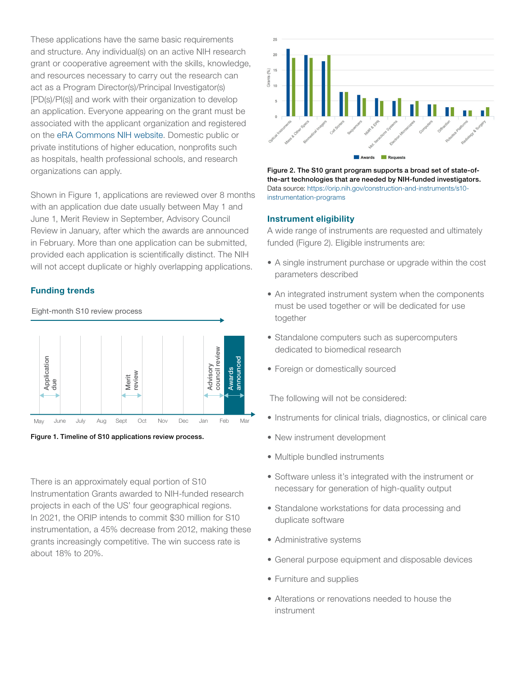These applications have the same basic requirements and structure. Any individual(s) on an active NIH research grant or cooperative agreement with the skills, knowledge, and resources necessary to carry out the research can act as a Program Director(s)/Principal Investigator(s) [PD(s)/PI(s)] and work with their organization to develop an application. Everyone appearing on the grant must be associated with the applicant organization and registered on the [eRA Commons NIH website.](https://era.nih.gov/) Domestic public or private institutions of higher education, nonprofits such as hospitals, health professional schools, and research organizations can apply.

Shown in Figure 1, applications are reviewed over 8 months with an application due date usually between May 1 and June 1, Merit Review in September, Advisory Council Review in January, after which the awards are announced in February. More than one application can be submitted, provided each application is scientifically distinct. The NIH will not accept duplicate or highly overlapping applications.

### Funding trends





There is an approximately equal portion of S10 Instrumentation Grants awarded to NIH-funded research projects in each of the US' four geographical regions. In 2021, the ORIP intends to commit \$30 million for S10 instrumentation, a 45% decrease from 2012, making these grants increasingly competitive. The win success rate is about 18% to 20%.



Figure 2. The S10 grant program supports a broad set of state-ofthe-art technologies that are needed by NIH-funded investigators. Data source: [https://orip.nih.gov/construction-and-instruments/s10](https://orip.nih.gov/construction-and-instruments/s10-instrumentation-programs) [instrumentation-programs](https://orip.nih.gov/construction-and-instruments/s10-instrumentation-programs)

### Instrument eligibility

A wide range of instruments are requested and ultimately funded (Figure 2). Eligible instruments are:

- A single instrument purchase or upgrade within the cost parameters described
- An integrated instrument system when the components must be used together or will be dedicated for use together
- Standalone computers such as supercomputers dedicated to biomedical research
- Foreign or domestically sourced

The following will not be considered:

- Instruments for clinical trials, diagnostics, or clinical care
- New instrument development
- Multiple bundled instruments
- Software unless it's integrated with the instrument or necessary for generation of high-quality output
- Standalone workstations for data processing and duplicate software
- Administrative systems
- General purpose equipment and disposable devices
- Furniture and supplies
- Alterations or renovations needed to house the instrument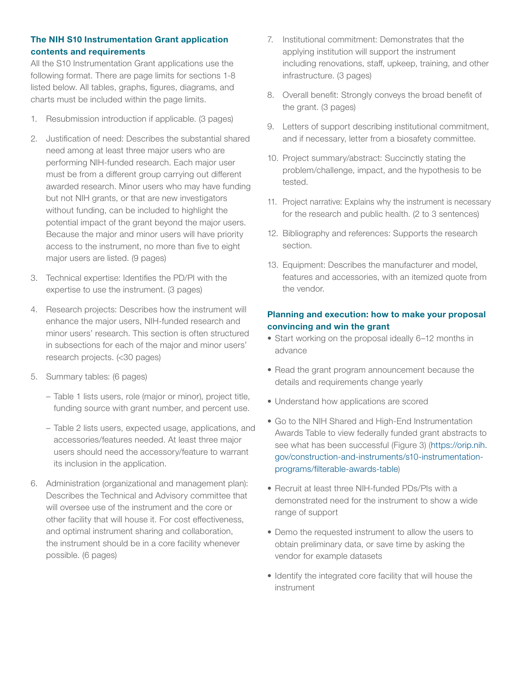### The NIH S10 Instrumentation Grant application contents and requirements

All the S10 Instrumentation Grant applications use the following format. There are page limits for sections 1-8 listed below. All tables, graphs, figures, diagrams, and charts must be included within the page limits.

- 1. Resubmission introduction if applicable. (3 pages)
- 2. Justification of need: Describes the substantial shared need among at least three major users who are performing NIH-funded research. Each major user must be from a different group carrying out different awarded research. Minor users who may have funding but not NIH grants, or that are new investigators without funding, can be included to highlight the potential impact of the grant beyond the major users. Because the major and minor users will have priority access to the instrument, no more than five to eight major users are listed. (9 pages)
- 3. Technical expertise: Identifies the PD/PI with the expertise to use the instrument. (3 pages)
- 4. Research projects: Describes how the instrument will enhance the major users, NIH-funded research and minor users' research. This section is often structured in subsections for each of the major and minor users' research projects. (<30 pages)
- 5. Summary tables: (6 pages)
	- Table 1 lists users, role (major or minor), project title, funding source with grant number, and percent use.
	- Table 2 lists users, expected usage, applications, and accessories/features needed. At least three major users should need the accessory/feature to warrant its inclusion in the application.
- 6. Administration (organizational and management plan): Describes the Technical and Advisory committee that will oversee use of the instrument and the core or other facility that will house it. For cost effectiveness, and optimal instrument sharing and collaboration, the instrument should be in a core facility whenever possible. (6 pages)
- 7. Institutional commitment: Demonstrates that the applying institution will support the instrument including renovations, staff, upkeep, training, and other infrastructure. (3 pages)
- 8. Overall benefit: Strongly conveys the broad benefit of the grant. (3 pages)
- 9. Letters of support describing institutional commitment, and if necessary, letter from a biosafety committee.
- 10. Project summary/abstract: Succinctly stating the problem/challenge, impact, and the hypothesis to be tested.
- 11. Project narrative: Explains why the instrument is necessary for the research and public health. (2 to 3 sentences)
- 12. Bibliography and references: Supports the research section.
- 13. Equipment: Describes the manufacturer and model, features and accessories, with an itemized quote from the vendor.

### Planning and execution: how to make your proposal convincing and win the grant

- Start working on the proposal ideally 6–12 months in advance
- Read the grant program announcement because the details and requirements change yearly
- Understand how applications are scored
- Go to the NIH Shared and High-End Instrumentation Awards Table to view federally funded grant abstracts to see what has been successful (Figure 3) ([https://orip.nih.](https://orip.nih.gov/construction-and-instruments/s10-instrumentation-programs/filterable-awards-table) [gov/construction-and-instruments/s10-instrumentation](https://orip.nih.gov/construction-and-instruments/s10-instrumentation-programs/filterable-awards-table)[programs/filterable-awards-table](https://orip.nih.gov/construction-and-instruments/s10-instrumentation-programs/filterable-awards-table))
- Recruit at least three NIH-funded PDs/PIs with a demonstrated need for the instrument to show a wide range of support
- Demo the requested instrument to allow the users to obtain preliminary data, or save time by asking the vendor for example datasets
- Identify the integrated core facility that will house the instrument